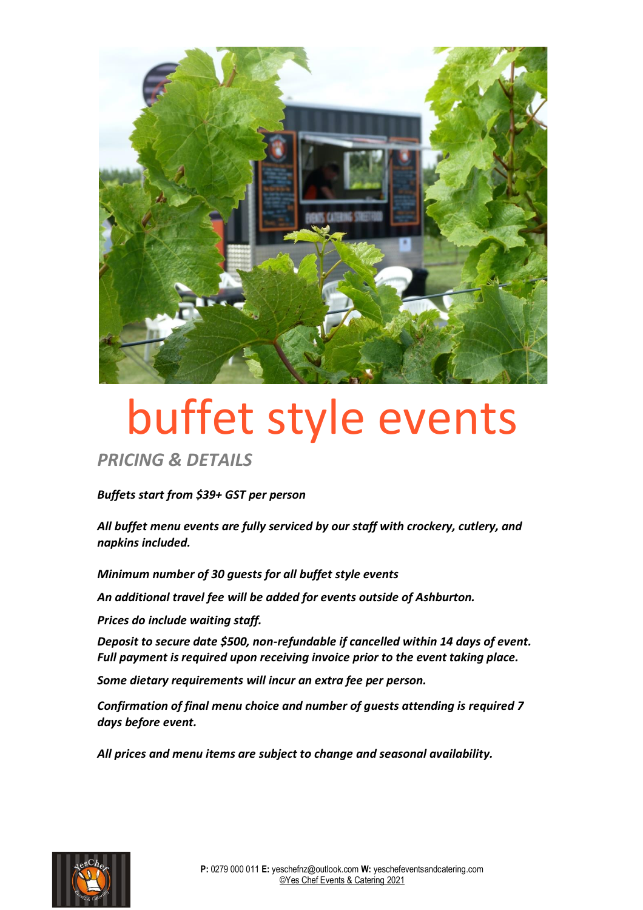

# buffet style events

*PRICING & DETAILS*

*Buffets start from \$39+ GST per person*

*All buffet menu events are fully serviced by our staff with crockery, cutlery, and napkins included.* 

*Minimum number of 30 guests for all buffet style events*

*An additional travel fee will be added for events outside of Ashburton.*

*Prices do include waiting staff.* 

*Deposit to secure date \$500, non-refundable if cancelled within 14 days of event. Full payment is required upon receiving invoice prior to the event taking place.*

*Some dietary requirements will incur an extra fee per person.*

*Confirmation of final menu choice and number of guests attending is required 7 days before event.*

*All prices and menu items are subject to change and seasonal availability.*